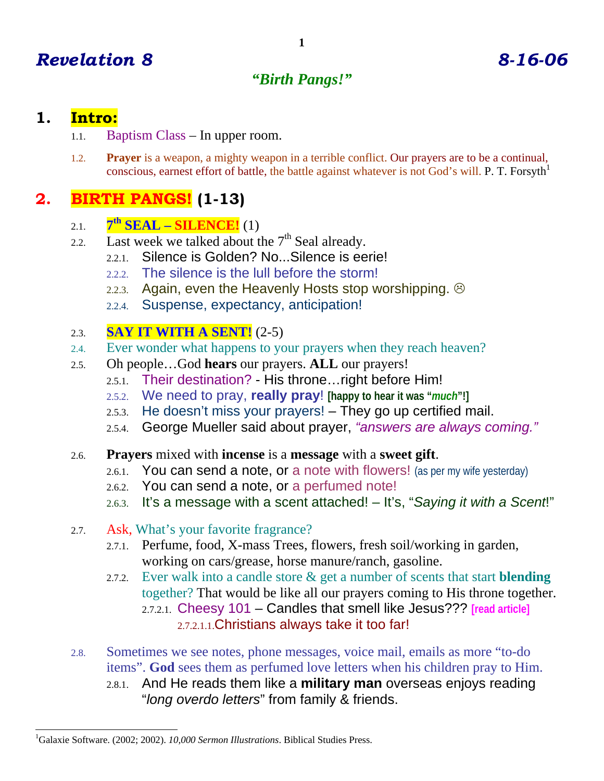## *"Birth Pangs!"*

## **1. Intro:**

- 1.1. Baptism Class In upper room.
- 1.2. **Prayer** is a weapon, a mighty weapon in a terrible conflict. Our prayers are to be a continual, conscious, earnest effort of battle, the battle against whatever is not God's will. P. T. Forsyth<sup>1</sup>

# **2. BIRTH PANGS! (1-13)**

- 2.1. **7th SEAL SILENCE!** (1)
- 2.2. Last week we talked about the  $7<sup>th</sup>$  Seal already.
	- 2.2.1. Silence is Golden? No...Silence is eerie!
	- 2.2.2. The silence is the lull before the storm!
	- 2.2.3. Again, even the Heavenly Hosts stop worshipping.  $\odot$
	- 2.2.4. Suspense, expectancy, anticipation!

### 2.3. **SAY IT WITH A SENT!** (2-5)

- 2.4. Ever wonder what happens to your prayers when they reach heaven?
- 2.5. Oh people…God **hears** our prayers. **ALL** our prayers!
	- 2.5.1. Their destination? His throne…right before Him!
	- 2.5.2. We need to pray, **really pray**! **[happy to hear it was "***much***"!]**
	- 2.5.3. He doesn't miss your prayers! They go up certified mail.
	- 2.5.4. George Mueller said about prayer, *"answers are always coming."*
- 2.6. **Prayers** mixed with **incense** is a **message** with a **sweet gift**.
	- 2.6.1. You can send a note, or a note with flowers! (as per my wife yesterday)
	- 2.6.2. You can send a note, or a perfumed note!
	- 2.6.3. It's a message with a scent attached! It's, "*Saying it with a Scent*!"
- 2.7. Ask, What's your favorite fragrance?
	- 2.7.1. Perfume, food, X-mass Trees, flowers, fresh soil/working in garden, working on cars/grease, horse manure/ranch, gasoline.
	- 2.7.2. Ever walk into a candle store & get a number of scents that start **blending** together? That would be like all our prayers coming to His throne together. 2.7.2.1. Cheesy 101 – Candles that smell like Jesus??? **[read article]** 2.7.2.1.1.Christians always take it too far!
- 2.8. Sometimes we see notes, phone messages, voice mail, emails as more "to-do items". **God** sees them as perfumed love letters when his children pray to Him.
	- 2.8.1. And He reads them like a **military man** overseas enjoys reading "*long overdo letters*" from family & friends.

<sup>-</sup>1 Galaxie Software. (2002; 2002). *10,000 Sermon Illustrations*. Biblical Studies Press.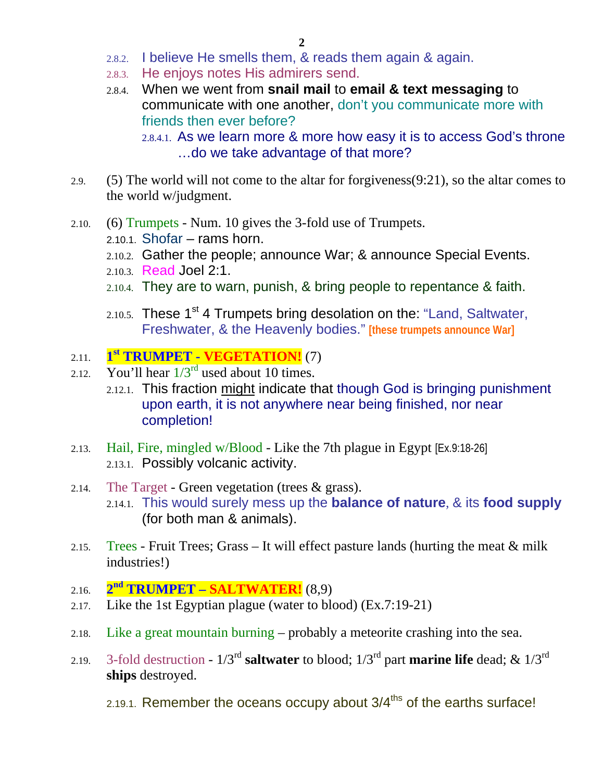- 2.8.2. I believe He smells them, & reads them again & again.
- 2.8.3. He enjoys notes His admirers send.
- 2.8.4. When we went from **snail mail** to **email & text messaging** to communicate with one another, don't you communicate more with friends then ever before?

2.8.4.1. As we learn more & more how easy it is to access God's throne …do we take advantage of that more?

- 2.9. (5) The world will not come to the altar for forgiveness(9:21), so the altar comes to the world w/judgment.
- 2.10. (6) Trumpets Num. 10 gives the 3-fold use of Trumpets.
	- 2.10.1. Shofar rams horn.
	- 2.10.2. Gather the people; announce War; & announce Special Events.
	- 2.10.3. Read Joel 2:1.
	- 2.10.4. They are to warn, punish, & bring people to repentance & faith.
	- 2.10.5. These  $1^{st}$  4 Trumpets bring desolation on the: "Land, Saltwater, Freshwater, & the Heavenly bodies." **[these trumpets announce War]**
- 2.11. **1st TRUMPET VEGETATION!** (7)
- 2.12. You'll hear  $1/3^{rd}$  used about 10 times.
	- 2.12.1. This fraction might indicate that though God is bringing punishment upon earth, it is not anywhere near being finished, nor near completion!
- 2.13. Hail, Fire, mingled w/Blood Like the 7th plague in Egypt [Ex.9:18-26] 2.13.1. Possibly volcanic activity.
- 2.14. The Target Green vegetation (trees  $\&$  grass). 2.14.1. This would surely mess up the **balance of nature**, & its **food supply** (for both man & animals).
- 2.15. Trees Fruit Trees; Grass It will effect pasture lands (hurting the meat  $\&$  milk industries!)
- 2.16. **2nd TRUMPET SALTWATER!** (8,9)
- 2.17. Like the 1st Egyptian plague (water to blood) (Ex.7:19-21)
- 2.18. Like a great mountain burning probably a meteorite crashing into the sea.
- 2.19. 3-fold destruction  $1/3^{rd}$  **saltwater** to blood;  $1/3^{rd}$  part **marine life** dead; &  $1/3^{rd}$ **ships** destroyed.
	- 2.19.1. Remember the oceans occupy about  $3/4^{ths}$  of the earths surface!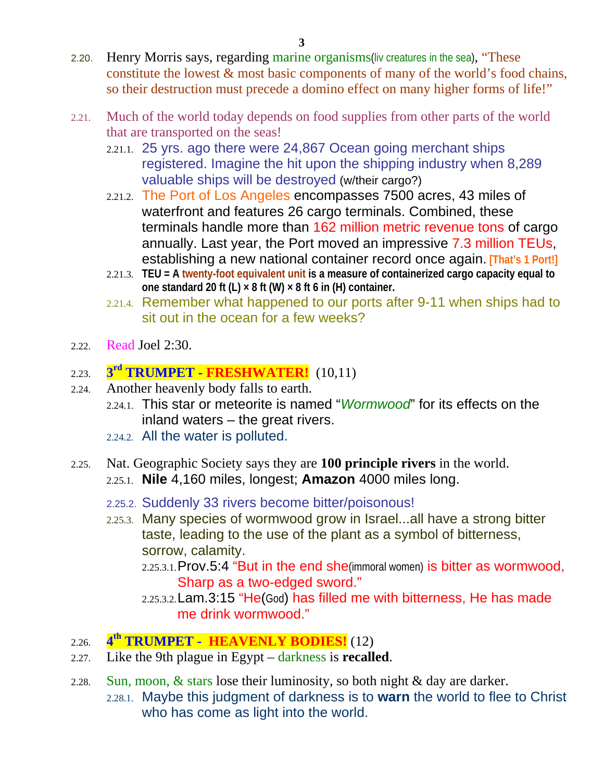- 2.20. Henry Morris says, regarding marine organisms(liv creatures in the sea), "These constitute the lowest  $\&$  most basic components of many of the world's food chains, so their destruction must precede a domino effect on many higher forms of life!"
- 2.21. Much of the world today depends on food supplies from other parts of the world that are transported on the seas!
	- 2.21.1. 25 yrs. ago there were 24,867 Ocean going merchant ships registered. Imagine the hit upon the shipping industry when 8,289 valuable ships will be destroyed (w/their cargo?)
	- 2.21.2. The Port of Los Angeles encompasses 7500 acres, 43 miles of waterfront and features 26 cargo terminals. Combined, these terminals handle more than 162 million metric revenue tons of cargo annually. Last year, the Port moved an impressive 7.3 million TEUs, establishing a new national container record once again. **[That's 1 Port!]**
	- 2.21.3. **TEU = A twenty-foot equivalent unit is a measure of containerized cargo capacity equal to one standard 20 ft (L) × 8 ft (W) × 8 ft 6 in (H) container.**
	- 2.21.4. Remember what happened to our ports after 9-11 when ships had to sit out in the ocean for a few weeks?
- 2.22. Read Joel 2:30.

#### 2.23. **3rd TRUMPET - FRESHWATER!** (10,11)

- 2.24. Another heavenly body falls to earth.
	- 2.24.1. This star or meteorite is named "*Wormwood*" for its effects on the inland waters – the great rivers.
	- 2.24.2. All the water is polluted.
- 2.25. Nat. Geographic Society says they are **100 principle rivers** in the world.
	- 2.25.1. **Nile** 4,160 miles, longest; **Amazon** 4000 miles long.
	- 2.25.2. Suddenly 33 rivers become bitter/poisonous!
	- 2.25.3. Many species of wormwood grow in Israel...all have a strong bitter taste, leading to the use of the plant as a symbol of bitterness, sorrow, calamity.
		- 2.25.3.1.Prov.5:4 "But in the end she(immoral women) is bitter as wormwood, Sharp as a two-edged sword."
		- 2.25.3.2.Lam.3:15 "He(God) has filled me with bitterness, He has made me drink wormwood."
- 2.26. **4th TRUMPET HEAVENLY BODIES!** (12)
- 2.27. Like the 9th plague in Egypt darkness is **recalled**.
- 2.28. Sun, moon, & stars lose their luminosity, so both night & day are darker. 2.28.1. Maybe this judgment of darkness is to **warn** the world to flee to Christ who has come as light into the world.